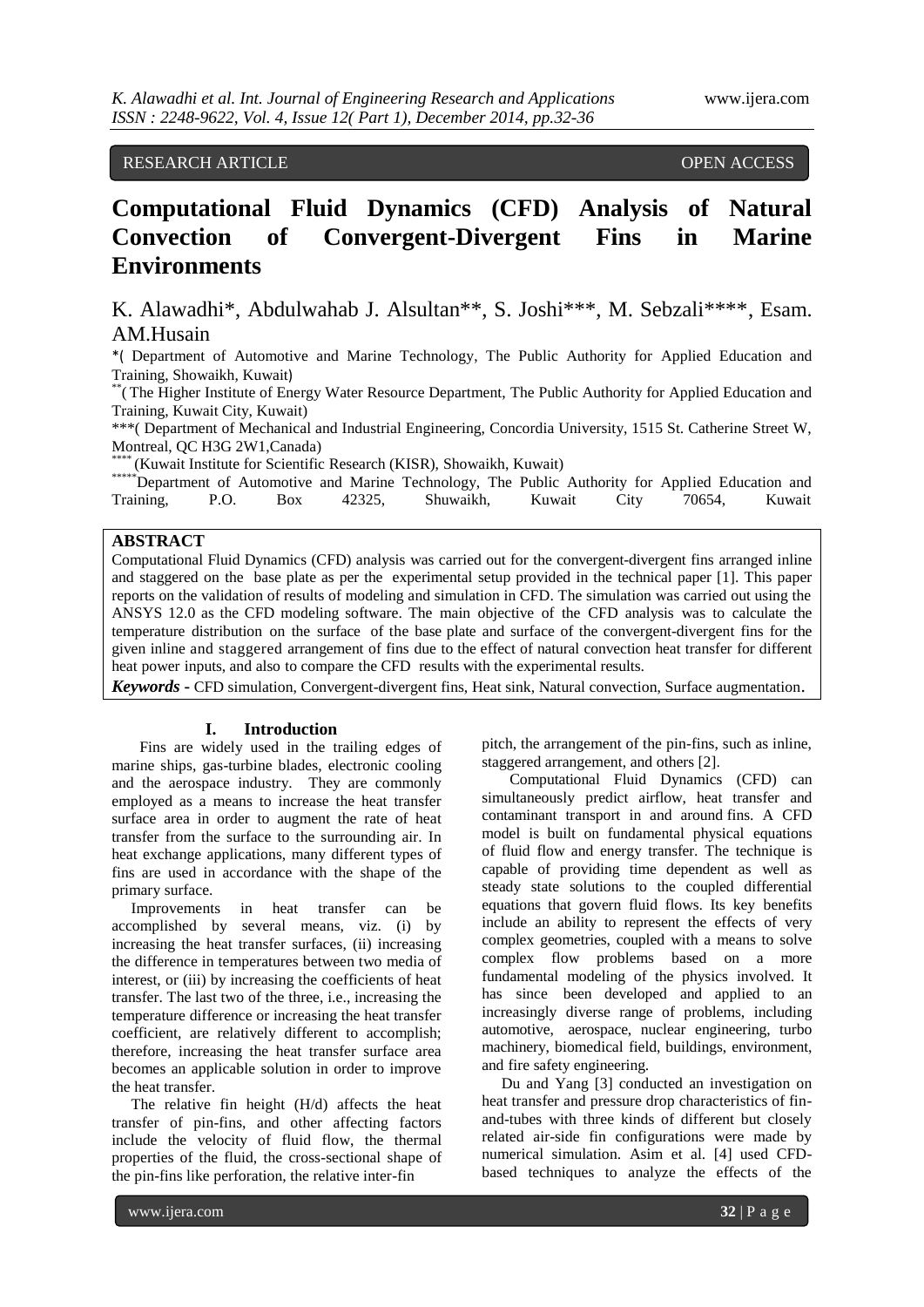## RESEARCH ARTICLE OPEN ACCESS

# **Computational Fluid Dynamics (CFD) Analysis of Natural Convection of Convergent-Divergent Fins in Marine Environments**

K. Alawadhi\*, Abdulwahab J. Alsultan\*\*, S. Joshi\*\*\*, M. Sebzali\*\*\*\*, Esam. AM.Husain

\*( Department of Automotive and Marine Technology, The Public Authority for Applied Education and Training, Showaikh, Kuwait)

\*\* (The Higher Institute of Energy Water Resource Department, The Public Authority for Applied Education and Training, Kuwait City, Kuwait)

\*\*\*( Department of Mechanical and Industrial Engineering, Concordia University, 1515 St. Catherine Street W, Montreal, QC H3G 2W1,Canada)

(Kuwait Institute for Scientific Research (KISR), Showaikh, Kuwait)

|                |  |  |  | ******Department of Automotive and Marine Technology, The Public Authority for Applied Education and |
|----------------|--|--|--|------------------------------------------------------------------------------------------------------|
| Training, P.O. |  |  |  | Box 42325, Shuwaikh, Kuwait City 70654, Kuwait                                                       |

### **ABSTRACT**

Computational Fluid Dynamics (CFD) analysis was carried out for the convergent-divergent fins arranged inline and staggered on the base plate as per the experimental setup provided in the technical paper [1]. This paper reports on the validation of results of modeling and simulation in CFD. The simulation was carried out using the ANSYS 12.0 as the CFD modeling software. The main objective of the CFD analysis was to calculate the temperature distribution on the surface of the base plate and surface of the convergent-divergent fins for the given inline and staggered arrangement of fins due to the effect of natural convection heat transfer for different heat power inputs, and also to compare the CFD results with the experimental results.

*Keywords* **-** CFD simulation, Convergent-divergent fins, Heat sink, Natural convection, Surface augmentation.

#### **I. Introduction**

Fins are widely used in the trailing edges of marine ships, gas-turbine blades, electronic cooling and the aerospace industry. They are commonly employed as a means to increase the heat transfer surface area in order to augment the rate of heat transfer from the surface to the surrounding air. In heat exchange applications, many different types of fins are used in accordance with the shape of the primary surface.

 Improvements in heat transfer can be accomplished by several means, viz. (i) by increasing the heat transfer surfaces, (ii) increasing the difference in temperatures between two media of interest, or (iii) by increasing the coefficients of heat transfer. The last two of the three, i.e., increasing the temperature difference or increasing the heat transfer coefficient, are relatively different to accomplish; therefore, increasing the heat transfer surface area becomes an applicable solution in order to improve the heat transfer.

 The relative fin height (H/d) affects the heat transfer of pin-fins, and other affecting factors include the velocity of fluid flow, the thermal properties of the fluid, the cross-sectional shape of the pin-fins like perforation, the relative inter-fin

pitch, the arrangement of the pin-fins, such as inline, staggered arrangement, and others [2].

Computational Fluid Dynamics (CFD) can simultaneously predict airflow, heat transfer and contaminant transport in and around fins. A CFD model is built on fundamental physical equations of fluid flow and energy transfer. The technique is capable of providing time dependent as well as steady state solutions to the coupled differential equations that govern fluid flows. Its key benefits include an ability to represent the effects of very complex geometries, coupled with a means to solve complex flow problems based on a more fundamental modeling of the physics involved. It has since been developed and applied to an increasingly diverse range of problems, including automotive, aerospace, nuclear engineering, turbo machinery, biomedical field, buildings, environment, and fire safety engineering.

 Du and Yang [3] conducted an investigation on heat transfer and pressure drop characteristics of finand-tubes with three kinds of different but closely related air-side fin configurations were made by numerical simulation. Asim et al. [4] used CFDbased techniques to analyze the effects of the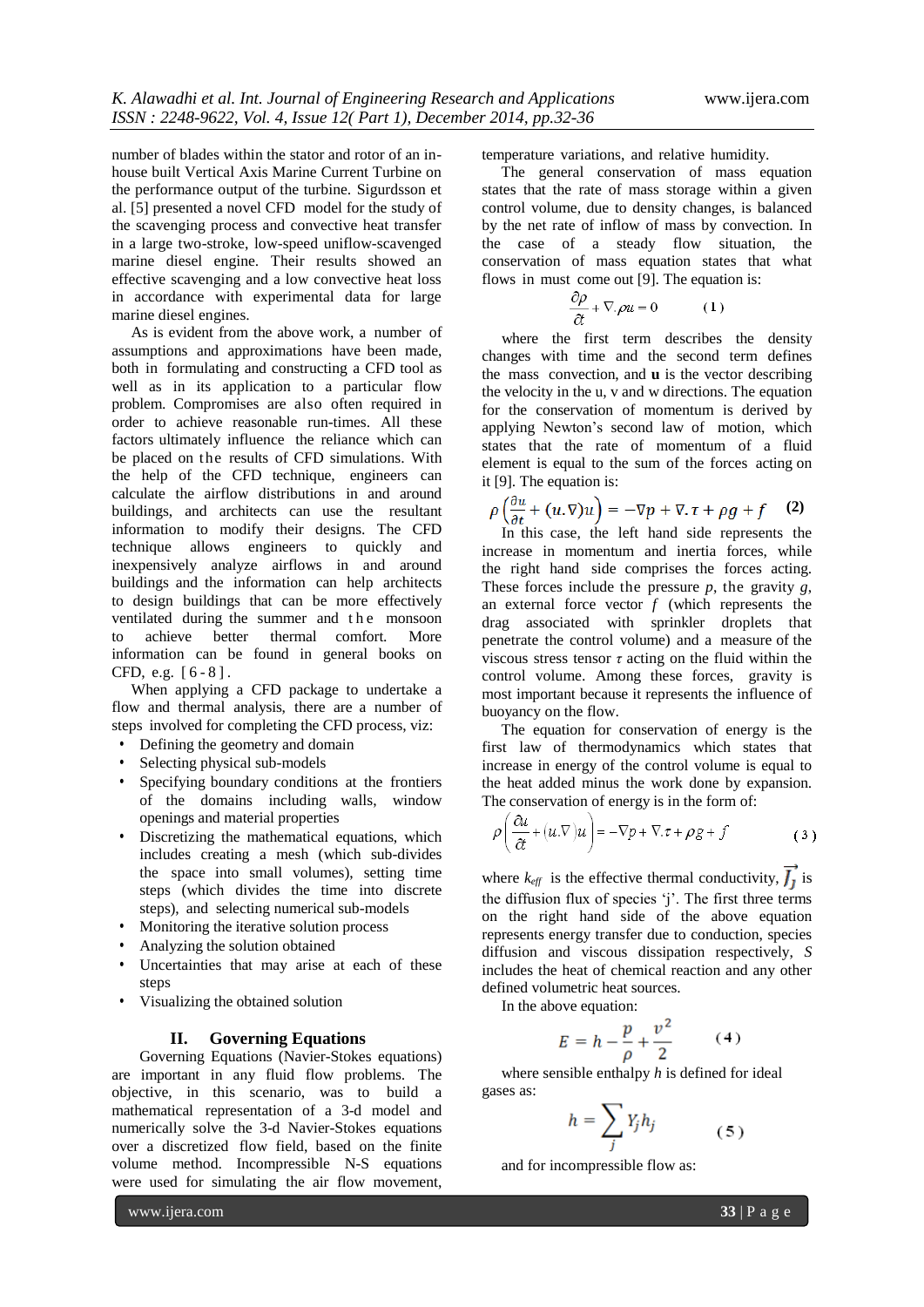number of blades within the stator and rotor of an inhouse built Vertical Axis Marine Current Turbine on the performance output of the turbine. [Sigurdsson](http://0-www.sciencedirect.com.mercury.concordia.ca/science/article/pii/S030626191400172X) et al. [5] presented a novel CFD model for the study of the scavenging process and convective heat transfer in a large two-stroke, low-speed uniflow-scavenged marine diesel engine. Their results showed an effective scavenging and a low convective heat loss in accordance with experimental data for large marine diesel engines.

 As is evident from the above work, a number of assumptions and approximations have been made, both in formulating and constructing a CFD tool as well as in its application to a particular flow problem. Compromises are also often required in order to achieve reasonable run-times. All these factors ultimately influence the reliance which can be placed on the results of CFD simulations. With the help of the CFD technique, engineers can calculate the airflow distributions in and around buildings, and architects can use the resultant information to modify their designs. The CFD technique allows engineers to quickly and inexpensively analyze airflows in and around buildings and the information can help architects to design buildings that can be more effectively ventilated during the summer and the monsoon to achieve better thermal comfort. More information can be found in general books on CFD, e.g. [ 6 - 8 ] .

 When applying a CFD package to undertake a flow and thermal analysis, there are a number of steps involved for completing the CFD process, viz:

- Defining the geometry and domain
- Selecting physical sub-models
- Specifying boundary conditions at the frontiers of the domains including walls, window openings and material properties
- Discretizing the mathematical equations, which includes creating a mesh (which sub-divides the space into small volumes), setting time steps (which divides the time into discrete steps), and selecting numerical sub-models
- Monitoring the iterative solution process
- Analyzing the solution obtained
- Uncertainties that may arise at each of these steps
- Visualizing the obtained solution

#### **II. Governing Equations**

Governing Equations (Navier-Stokes equations) are important in any fluid flow problems. The objective, in this scenario, was to build a mathematical representation of a 3-d model and numerically solve the 3-d Navier-Stokes equations over a discretized flow field, based on the finite volume method. Incompressible N-S equations were used for simulating the air flow movement,

temperature variations, and relative humidity.

 The general conservation of mass equation states that the rate of mass storage within a given control volume, due to density changes, is balanced by the net rate of inflow of mass by convection. In the case of a steady flow situation, the conservation of mass equation states that what flows in must come out [9]. The equation is:

$$
\frac{\partial \rho}{\partial t} + \nabla \rho u = 0 \tag{1}
$$

 where the first term describes the density changes with time and the second term defines the mass convection, and **u** is the vector describing the velocity in the u, v and w directions. The equation for the conservation of momentum is derived by applying Newton's second law of motion, which states that the rate of momentum of a fluid element is equal to the sum of the forces acting on it [9]. The equation is:

$$
\rho\left(\frac{\partial u}{\partial t} + (u.\nabla)u\right) = -\nabla p + \nabla \cdot \tau + \rho g + f \quad (2)
$$

 In this case, the left hand side represents the increase in momentum and inertia forces, while the right hand side comprises the forces acting. These forces include the pressure *p*, the gravity *g*, an external force vector  $f$  (which represents the drag associated with sprinkler droplets that penetrate the control volume) and a measure of the viscous stress tensor  $\tau$  acting on the fluid within the control volume. Among these forces, gravity is most important because it represents the influence of buoyancy on the flow.

 The equation for conservation of energy is the first law of thermodynamics which states that increase in energy of the control volume is equal to the heat added minus the work done by expansion. The conservation of energy is in the form of:

$$
\rho \left( \frac{\partial u}{\partial t} + (u \cdot \nabla) u \right) = -\nabla p + \nabla \cdot \tau + \rho g + f \tag{3}
$$

where  $k_{\text{eff}}$  is the effective thermal conductivity,  $\int_{1}$  is the diffusion flux of species 'j'. The first three terms on the right hand side of the above equation represents energy transfer due to conduction, species diffusion and viscous dissipation respectively, *S* includes the heat of chemical reaction and any other defined volumetric heat sources.

In the above equation:

$$
E = h - \frac{p}{\rho} + \frac{v^2}{2} \qquad (4)
$$

 where sensible enthalpy *h* is defined for ideal gases as:

$$
h = \sum_{j} Y_j h_j \tag{5}
$$

and for incompressible flow as:

www.ijera.com **33** | P a g e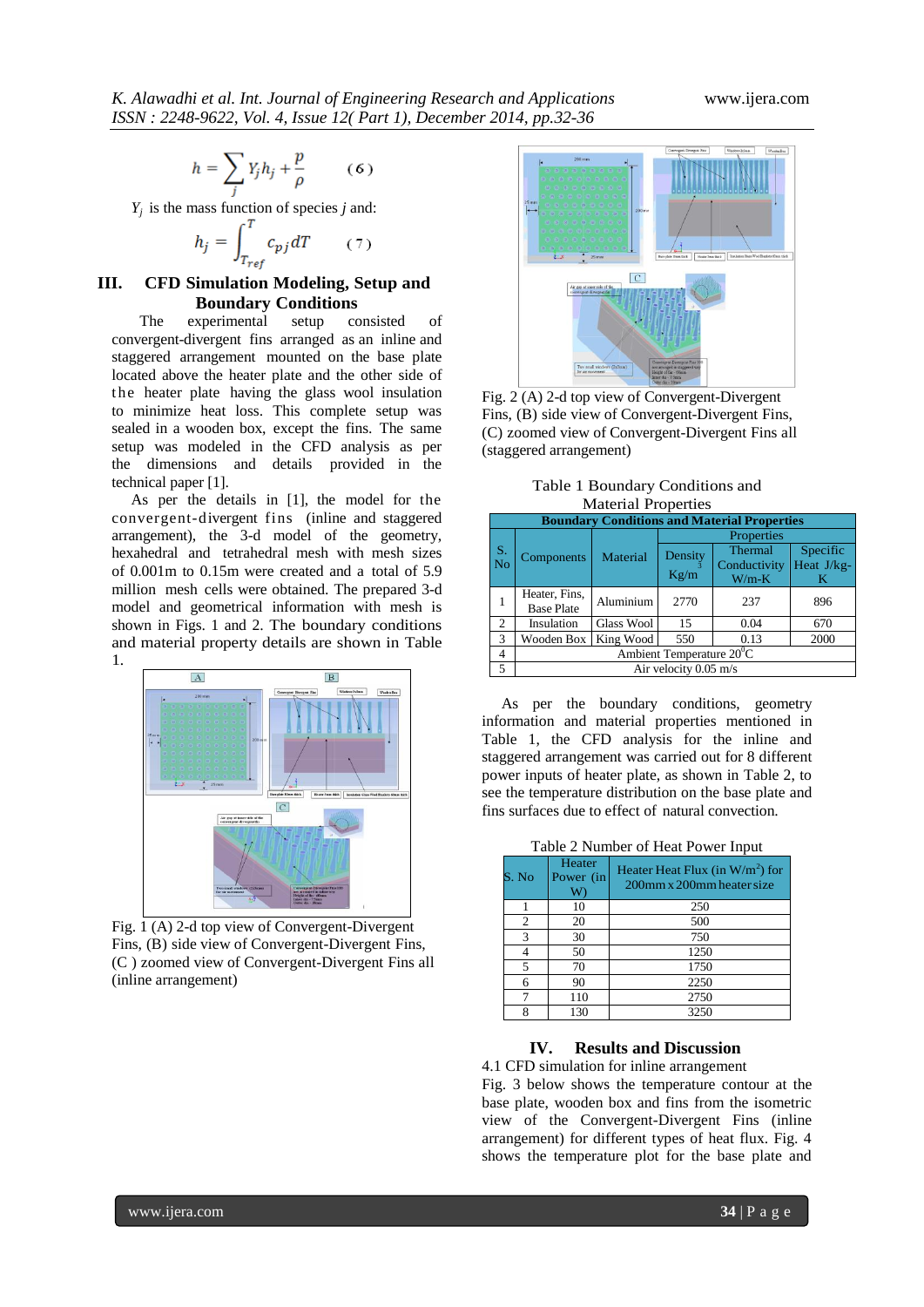$$
h = \sum_i Y_j h_j + \frac{p}{\rho} \qquad (6)
$$

*Y<sup>j</sup>* is the mass function of species *j* and:

$$
h_j = \int_{T_{ref}}^{T} c_{pj} dT \qquad (7)
$$

#### **III. CFD Simulation Modeling, Setup and Boundary Conditions**

The experimental setup consisted of convergent-divergent fins arranged as an inline and staggered arrangement mounted on the base plate located above the heater plate and the other side of t he heater plate having the glass wool insulation to minimize heat loss. This complete setup was sealed in a wooden box, except the fins. The same setup was modeled in the CFD analysis as per the dimensions and details provided in the technical paper [1].

 As per the details in [1], the model for the convergent-divergent fins (inline and staggered arrangement), the 3-d model of the geometry, hexahedral and tetrahedral mesh with mesh sizes of 0.001m to 0.15m were created and a total of 5.9 million mesh cells were obtained. The prepared 3-d model and geometrical information with mesh is shown in Figs. 1 and 2. The boundary conditions and material property details are shown in Table 1.



Fig. 1 (A) 2-d top view of Convergent-Divergent Fins, (B) side view of Convergent-Divergent Fins, (C ) zoomed view of Convergent-Divergent Fins all (inline arrangement)



Fig. 2 (A) 2-d top view of Convergent-Divergent Fins, (B) side view of Convergent-Divergent Fins, (C) zoomed view of Convergent-Divergent Fins all (staggered arrangement)

Table 1 Boundary Conditions and Material Properties

|               | <b>Boundary Conditions and Material Properties</b> |            |                 |                                    |                             |  |  |
|---------------|----------------------------------------------------|------------|-----------------|------------------------------------|-----------------------------|--|--|
|               |                                                    | Material   | Properties      |                                    |                             |  |  |
| S.<br>No      | Components                                         |            | Density<br>Kg/m | Thermal<br>Conductivity<br>$W/m-K$ | Specific<br>Heat J/kg-<br>K |  |  |
|               | Heater, Fins,<br><b>Base Plate</b>                 | Aluminium  | 2770            | 237                                | 896                         |  |  |
| 2             | Insulation                                         | Glass Wool | 15              | 0.04                               | 670                         |  |  |
| $\mathcal{R}$ | Wooden Box                                         | King Wood  | 550             | 0.13                               | 2000                        |  |  |
| 4             | Ambient Temperature $20^{\circ}$ C                 |            |                 |                                    |                             |  |  |
| 5             | Air velocity 0.05 m/s                              |            |                 |                                    |                             |  |  |

 As per the boundary conditions, geometry information and material properties mentioned in Table 1, the CFD analysis for the inline and staggered arrangement was carried out for 8 different power inputs of heater plate, as shown in Table 2, to see the temperature distribution on the base plate and fins surfaces due to effect of natural convection.

| S. No | Heater<br>Power (in<br>W | Heater Heat Flux (in $W/m^2$ ) for<br>200mm x 200mm heater size |
|-------|--------------------------|-----------------------------------------------------------------|
|       | 10                       | 250                                                             |
| 2     | 20                       | 500                                                             |
| 3     | 30                       | 750                                                             |
|       | 50                       | 1250                                                            |
| 5     | 70                       | 1750                                                            |
| 6     | 90                       | 2250                                                            |
|       | 110                      | 2750                                                            |
| 8     | 130                      | 3250                                                            |

#### **IV. Results and Discussion**

4.1 CFD simulation for inline arrangement Fig. 3 below shows the temperature contour at the base plate, wooden box and fins from the isometric view of the Convergent-Divergent Fins (inline arrangement) for different types of heat flux. Fig. 4 shows the temperature plot for the base plate and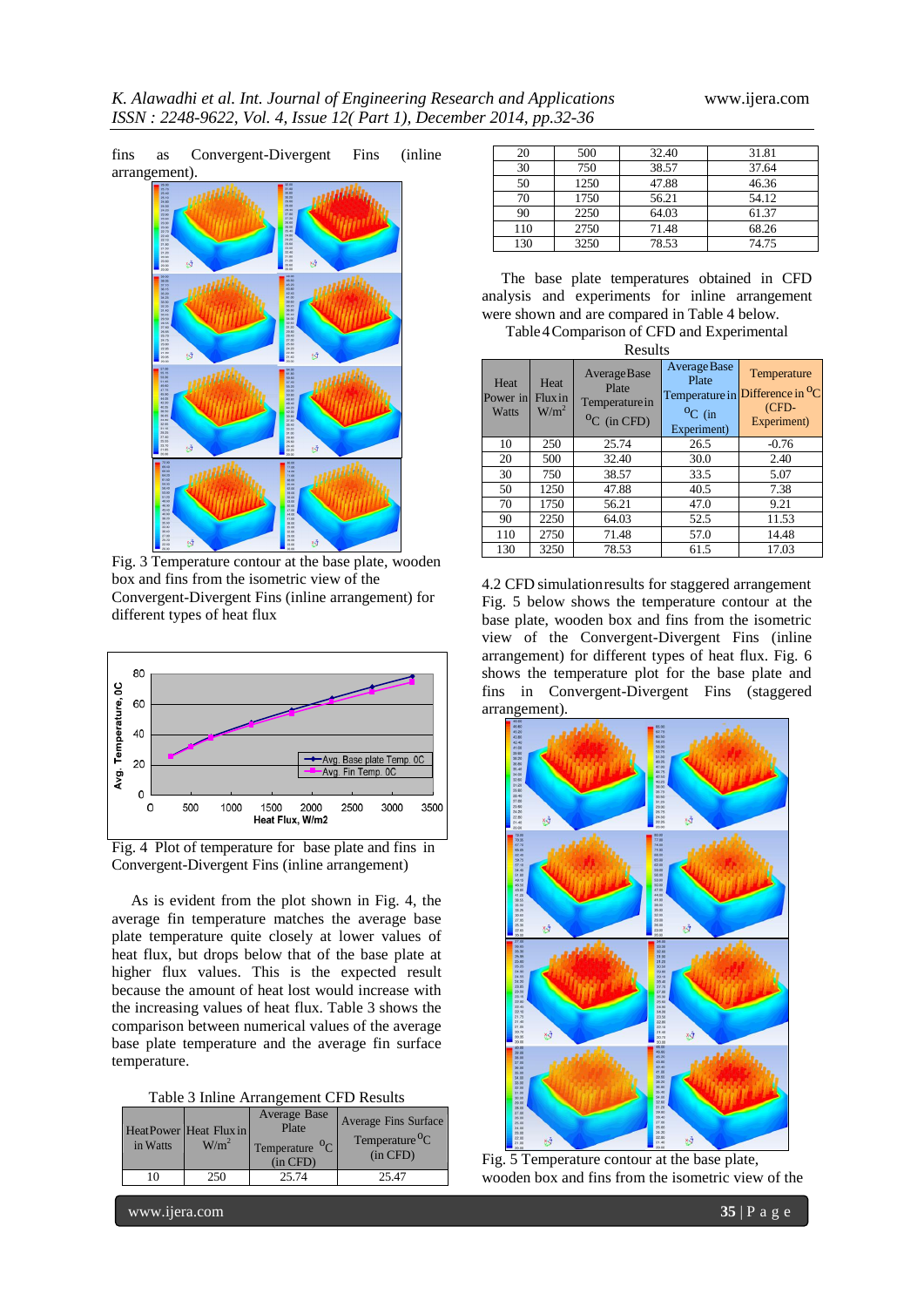

box and fins from the isometric view of the Convergent-Divergent Fins (inline arrangement) for different types of heat flux



Fig. 4 Plot of temperature for base plate and fins in Convergent-Divergent Fins (inline arrangement)

 As is evident from the plot shown in Fig. 4, the average fin temperature matches the average base plate temperature quite closely at lower values of heat flux, but drops below that of the base plate at higher flux values. This is the expected result because the amount of heat lost would increase with the increasing values of heat flux. Table 3 shows the comparison between numerical values of the average base plate temperature and the average fin surface temperature.

Table 3 Inline Arrangement CFD Results

| in Watts | HeatPower Heat Flux in<br>W/m <sup>2</sup> | Average Base<br>Plate<br>$^{0}C$<br>Temperature<br>$(in$ $CFD)$ | <b>Average Fins Surface</b><br>Temperature <sup>o</sup> C<br>$(in$ $CFD)$ |  |  |  |
|----------|--------------------------------------------|-----------------------------------------------------------------|---------------------------------------------------------------------------|--|--|--|
| 10       | 250                                        | 25.74                                                           | 25.47                                                                     |  |  |  |

| 20  | 500  | 32.40 | 31.81 |
|-----|------|-------|-------|
| 30  | 750  | 38.57 | 37.64 |
| 50  | 1250 | 47.88 | 46.36 |
| 70  | 1750 | 56.21 | 54.12 |
| 90  | 2250 | 64.03 | 61.37 |
| 110 | 2750 | 71.48 | 68.26 |
| 130 | 3250 | 78.53 | 74.75 |

 The base plate temperatures obtained in CFD analysis and experiments for inline arrangement were shown and are compared in Table 4 below.

Table4Comparison of CFD and Experimental Results

| -------                   |                                    |                                                                     |                                                                       |                                                                       |  |  |
|---------------------------|------------------------------------|---------------------------------------------------------------------|-----------------------------------------------------------------------|-----------------------------------------------------------------------|--|--|
| Heat<br>Power in<br>Watts | Heat<br>Fluxin<br>W/m <sup>2</sup> | <b>AverageBase</b><br>Plate<br>Temperature in<br>${}^{0}C$ (in CFD) | Average Base<br>Plate<br>Temperature in<br>$^{0}C$ (in<br>Experiment) | Temperature<br>Difference in <sup>O</sup> C<br>$(CFD-$<br>Experiment) |  |  |
| 10                        | 250                                | 25.74                                                               | 26.5                                                                  | $-0.76$                                                               |  |  |
| 20                        | 500                                | 32.40                                                               | 30.0                                                                  | 2.40                                                                  |  |  |
| 30                        | 750                                | 38.57                                                               | 33.5                                                                  | 5.07                                                                  |  |  |
| 50                        | 1250                               | 47.88                                                               | 40.5                                                                  | 7.38                                                                  |  |  |
| 70                        | 1750                               | 56.21                                                               | 47.0                                                                  | 9.21                                                                  |  |  |
| 90                        | 2250                               | 64.03                                                               | 52.5                                                                  | 11.53                                                                 |  |  |
| 110                       | 2750                               | 71.48                                                               | 57.0                                                                  | 14.48                                                                 |  |  |
| 130                       | 3250                               | 78.53                                                               | 61.5                                                                  | 17.03                                                                 |  |  |

4.2 CFD simulationresults for staggered arrangement Fig. 5 below shows the temperature contour at the base plate, wooden box and fins from the isometric view of the Convergent-Divergent Fins (inline arrangement) for different types of heat flux. Fig. 6 shows the temperature plot for the base plate and fins in Convergent-Divergent Fins (staggered arrangement).



Fig. 5 Temperature contour at the base plate, wooden box and fins from the isometric view of the

www.ijera.com **35** | P a g e